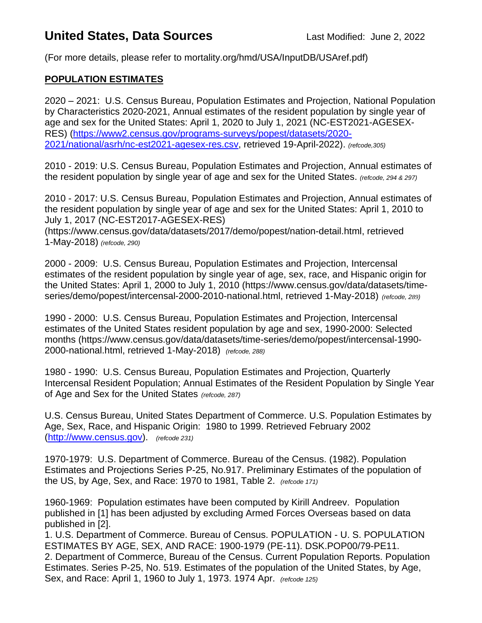# **United States, Data Sources Last Modified: June 2, 2022**

(For more details, please refer to mortality.org/hmd/USA/InputDB/USAref.pdf)

#### **POPULATION ESTIMATES**

2020 – 2021: U.S. Census Bureau, Population Estimates and Projection, National Population by Characteristics 2020-2021, Annual estimates of the resident population by single year of age and sex for the United States: April 1, 2020 to July 1, 2021 (NC-EST2021-AGESEX-RES) [\(https://www2.census.gov/programs-surveys/popest/datasets/2020-](https://www2.census.gov/programs-surveys/popest/datasets/2020-2021/national/asrh/nc-est2021-agesex-res.csv) [2021/national/asrh/nc-est2021-agesex-res.csv,](https://www2.census.gov/programs-surveys/popest/datasets/2020-2021/national/asrh/nc-est2021-agesex-res.csv) retrieved 19-April-2022). *(refcode,305)*

2010 - 2019: U.S. Census Bureau, Population Estimates and Projection, Annual estimates of the resident population by single year of age and sex for the United States. *(refcode, 294 & 297)*

2010 - 2017: U.S. Census Bureau, Population Estimates and Projection, Annual estimates of the resident population by single year of age and sex for the United States: April 1, 2010 to July 1, 2017 (NC-EST2017-AGESEX-RES)

(https://www.census.gov/data/datasets/2017/demo/popest/nation-detail.html, retrieved 1-May-2018) *(refcode, 290)*

2000 - 2009: U.S. Census Bureau, Population Estimates and Projection, Intercensal estimates of the resident population by single year of age, sex, race, and Hispanic origin for the United States: April 1, 2000 to July 1, 2010 (https://www.census.gov/data/datasets/timeseries/demo/popest/intercensal-2000-2010-national.html, retrieved 1-May-2018) *(refcode, 289)*

1990 - 2000: U.S. Census Bureau, Population Estimates and Projection, Intercensal estimates of the United States resident population by age and sex, 1990-2000: Selected months (https://www.census.gov/data/datasets/time-series/demo/popest/intercensal-1990- 2000-national.html, retrieved 1-May-2018) *(refcode, 288)*

1980 - 1990: U.S. Census Bureau, Population Estimates and Projection, Quarterly Intercensal Resident Population; Annual Estimates of the Resident Population by Single Year of Age and Sex for the United States *(refcode, 287)*

U.S. Census Bureau, United States Department of Commerce. U.S. Population Estimates by Age, Sex, Race, and Hispanic Origin: 1980 to 1999. Retrieved February 2002 [\(http://www.census.gov\)](http://www.census.gov/). *(refcode 231)*

1970-1979: U.S. Department of Commerce. Bureau of the Census. (1982). Population Estimates and Projections Series P-25, No.917. Preliminary Estimates of the population of the US, by Age, Sex, and Race: 1970 to 1981, Table 2. *(refcode 171)*

1960-1969: Population estimates have been computed by Kirill Andreev. Population published in [1] has been adjusted by excluding Armed Forces Overseas based on data published in [2].

1. U.S. Department of Commerce. Bureau of Census. POPULATION - U. S. POPULATION ESTIMATES BY AGE, SEX, AND RACE: 1900-1979 (PE-11). DSK.POP00/79-PE11. 2. Department of Commerce, Bureau of the Census. Current Population Reports. Population Estimates. Series P-25, No. 519. Estimates of the population of the United States, by Age, Sex, and Race: April 1, 1960 to July 1, 1973. 1974 Apr. *(refcode 125)*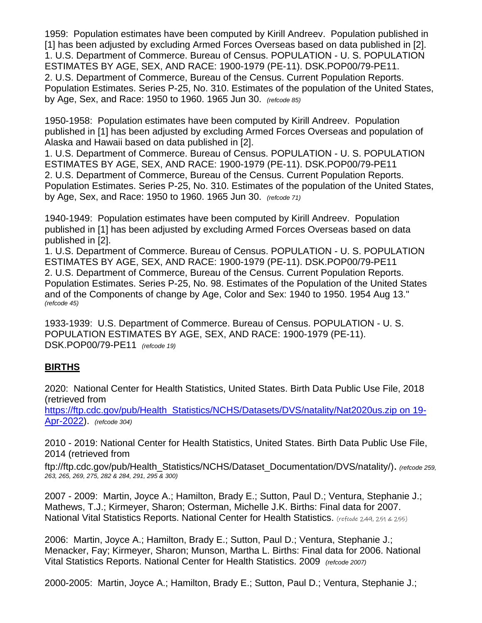1959: Population estimates have been computed by Kirill Andreev. Population published in [1] has been adjusted by excluding Armed Forces Overseas based on data published in [2]. 1. U.S. Department of Commerce. Bureau of Census. POPULATION - U. S. POPULATION ESTIMATES BY AGE, SEX, AND RACE: 1900-1979 (PE-11). DSK.POP00/79-PE11. 2. U.S. Department of Commerce, Bureau of the Census. Current Population Reports. Population Estimates. Series P-25, No. 310. Estimates of the population of the United States, by Age, Sex, and Race: 1950 to 1960. 1965 Jun 30. *(refcode 85)*

1950-1958: Population estimates have been computed by Kirill Andreev. Population published in [1] has been adjusted by excluding Armed Forces Overseas and population of Alaska and Hawaii based on data published in [2].

1. U.S. Department of Commerce. Bureau of Census. POPULATION - U. S. POPULATION ESTIMATES BY AGE, SEX, AND RACE: 1900-1979 (PE-11). DSK.POP00/79-PE11 2. U.S. Department of Commerce, Bureau of the Census. Current Population Reports. Population Estimates. Series P-25, No. 310. Estimates of the population of the United States, by Age, Sex, and Race: 1950 to 1960. 1965 Jun 30. *(refcode 71)*

1940-1949: Population estimates have been computed by Kirill Andreev. Population published in [1] has been adjusted by excluding Armed Forces Overseas based on data published in [2].

1. U.S. Department of Commerce. Bureau of Census. POPULATION - U. S. POPULATION ESTIMATES BY AGE, SEX, AND RACE: 1900-1979 (PE-11). DSK.POP00/79-PE11 2. U.S. Department of Commerce, Bureau of the Census. Current Population Reports. Population Estimates. Series P-25, No. 98. Estimates of the Population of the United States and of the Components of change by Age, Color and Sex: 1940 to 1950. 1954 Aug 13." *(refcode 45)*

1933-1939: U.S. Department of Commerce. Bureau of Census. POPULATION - U. S. POPULATION ESTIMATES BY AGE, SEX, AND RACE: 1900-1979 (PE-11). DSK.POP00/79-PE11 *(refcode 19)*

## **BIRTHS**

2020: National Center for Health Statistics, United States. Birth Data Public Use File, 2018 (retrieved from

[https://ftp.cdc.gov/pub/Health\\_Statistics/NCHS/Datasets/DVS/natality/Nat2020us.zip](https://ftp.cdc.gov/pub/Health_Statistics/NCHS/Datasets/DVS/natality/Nat2020us.zip%20on%2019-Apr-2022) on 19-[Apr-2022\)](https://ftp.cdc.gov/pub/Health_Statistics/NCHS/Datasets/DVS/natality/Nat2020us.zip%20on%2019-Apr-2022). *(refcode 304)*

2010 - 2019: National Center for Health Statistics, United States. Birth Data Public Use File, 2014 (retrieved from

ftp://ftp.cdc.gov/pub/Health\_Statistics/NCHS/Dataset\_Documentation/DVS/natality/). *(refcode 259, 263, 265, 269, 275, 282 & 284, 291, 295 & 300)*

2007 - 2009: Martin, Joyce A.; Hamilton, Brady E.; Sutton, Paul D.; Ventura, Stephanie J.; Mathews, T.J.; Kirmeyer, Sharon; Osterman, Michelle J.K. Births: Final data for 2007. National Vital Statistics Reports. National Center for Health Statistics. (refcode 249, 251 & 255)

2006: Martin, Joyce A.; Hamilton, Brady E.; Sutton, Paul D.; Ventura, Stephanie J.; Menacker, Fay; Kirmeyer, Sharon; Munson, Martha L. Births: Final data for 2006. National Vital Statistics Reports. National Center for Health Statistics. 2009 *(refcode 2007)*

2000-2005: Martin, Joyce A.; Hamilton, Brady E.; Sutton, Paul D.; Ventura, Stephanie J.;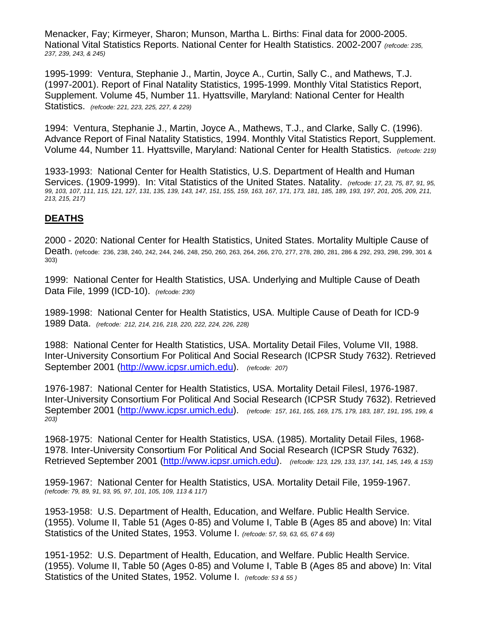Menacker, Fay; Kirmeyer, Sharon; Munson, Martha L. Births: Final data for 2000-2005. National Vital Statistics Reports. National Center for Health Statistics. 2002-2007 *(refcode: 235, 237, 239, 243, & 245)*

1995-1999: Ventura, Stephanie J., Martin, Joyce A., Curtin, Sally C., and Mathews, T.J. (1997-2001). Report of Final Natality Statistics, 1995-1999. Monthly Vital Statistics Report, Supplement. Volume 45, Number 11. Hyattsville, Maryland: National Center for Health Statistics. *(refcode: 221, 223, 225, 227, & 229)*

1994: Ventura, Stephanie J., Martin, Joyce A., Mathews, T.J., and Clarke, Sally C. (1996). Advance Report of Final Natality Statistics, 1994. Monthly Vital Statistics Report, Supplement. Volume 44, Number 11. Hyattsville, Maryland: National Center for Health Statistics. *(refcode: 219)*

1933-1993: National Center for Health Statistics, U.S. Department of Health and Human Services. (1909-1999). In: Vital Statistics of the United States. Natality. *(refcode: 17, 23, 75, 87, 91, 95, 99, 103, 107, 111, 115, 121, 127, 131, 135, 139, 143, 147, 151, 155, 159, 163, 167, 171, 173, 181, 185, 189, 193, 197, 201, 205, 209, 211, 213, 215, 217)*

#### **DEATHS**

2000 - 2020: National Center for Health Statistics, United States. Mortality Multiple Cause of Death. (refcode: 236, 238, 240, 242, 244, 246, 248, 250, 260, 263, 264, 266, 270, 277, 278, 280, 281, 286 & 292, 293, 298, 299, 301 & 303)

1999: National Center for Health Statistics, USA. Underlying and Multiple Cause of Death Data File, 1999 (ICD-10). *(refcode: 230)*

1989-1998: National Center for Health Statistics, USA. Multiple Cause of Death for ICD-9 1989 Data. *(refcode: 212, 214, 216, 218, 220, 222, 224, 226, 228)*

1988: National Center for Health Statistics, USA. Mortality Detail Files, Volume VII, 1988. Inter-University Consortium For Political And Social Research (ICPSR Study 7632). Retrieved September 2001 [\(http://www.icpsr.umich.edu\)](http://www.icpsr.umich.edu/). *(refcode: 207)*

1976-1987: National Center for Health Statistics, USA. Mortality Detail FilesI, 1976-1987. Inter-University Consortium For Political And Social Research (ICPSR Study 7632). Retrieved September 2001 [\(http://www.icpsr.umich.edu\)](http://www.icpsr.umich.edu/). *(refcode: 157, 161, 165, 169, 175, 179, 183, 187, 191, 195, 199, & 203)*

1968-1975: National Center for Health Statistics, USA. (1985). Mortality Detail Files, 1968- 1978. Inter-University Consortium For Political And Social Research (ICPSR Study 7632). Retrieved September 2001 [\(http://www.icpsr.umich.edu\)](http://www.icpsr.umich.edu/). *(refcode: 123, 129, 133, 137, 141, 145, 149, & 153)*

1959-1967: National Center for Health Statistics, USA. Mortality Detail File, 1959-1967. *(refcode: 79, 89, 91, 93, 95, 97, 101, 105, 109, 113 & 117)*

1953-1958: U.S. Department of Health, Education, and Welfare. Public Health Service. (1955). Volume II, Table 51 (Ages 0-85) and Volume I, Table B (Ages 85 and above) In: Vital Statistics of the United States, 1953. Volume I. *(refcode: 57, 59, 63, 65, 67 & 69)*

1951-1952: U.S. Department of Health, Education, and Welfare. Public Health Service. (1955). Volume II, Table 50 (Ages 0-85) and Volume I, Table B (Ages 85 and above) In: Vital Statistics of the United States, 1952. Volume I. *(refcode: 53 & 55 )*